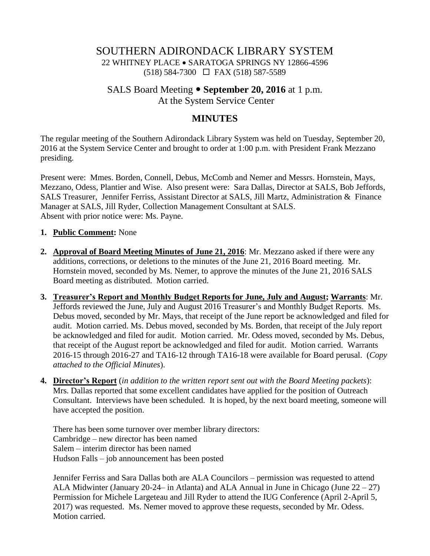## SOUTHERN ADIRONDACK LIBRARY SYSTEM 22 WHITNEY PLACE SARATOGA SPRINGS NY 12866-4596 (518) 584-7300 FAX (518) 587-5589

# SALS Board Meeting **September 20, 2016** at 1 p.m. At the System Service Center

## **MINUTES**

The regular meeting of the Southern Adirondack Library System was held on Tuesday, September 20, 2016 at the System Service Center and brought to order at 1:00 p.m. with President Frank Mezzano presiding.

Present were: Mmes. Borden, Connell, Debus, McComb and Nemer and Messrs. Hornstein, Mays, Mezzano, Odess, Plantier and Wise. Also present were: Sara Dallas, Director at SALS, Bob Jeffords, SALS Treasurer, Jennifer Ferriss, Assistant Director at SALS, Jill Martz, Administration & Finance Manager at SALS, Jill Ryder, Collection Management Consultant at SALS. Absent with prior notice were: Ms. Payne.

#### **1. Public Comment:** None

- **2. Approval of Board Meeting Minutes of June 21, 2016**: Mr. Mezzano asked if there were any additions, corrections, or deletions to the minutes of the June 21, 2016 Board meeting. Mr. Hornstein moved, seconded by Ms. Nemer, to approve the minutes of the June 21, 2016 SALS Board meeting as distributed. Motion carried.
- **3. Treasurer's Report and Monthly Budget Reports for June, July and August; Warrants**: Mr. Jeffords reviewed the June, July and August 2016 Treasurer's and Monthly Budget Reports. Ms. Debus moved, seconded by Mr. Mays, that receipt of the June report be acknowledged and filed for audit. Motion carried. Ms. Debus moved, seconded by Ms. Borden, that receipt of the July report be acknowledged and filed for audit. Motion carried. Mr. Odess moved, seconded by Ms. Debus, that receipt of the August report be acknowledged and filed for audit. Motion carried. Warrants 2016-15 through 2016-27 and TA16-12 through TA16-18 were available for Board perusal. (*Copy attached to the Official Minutes*).
- **4. Director's Report** (*in addition to the written report sent out with the Board Meeting packets*): Mrs. Dallas reported that some excellent candidates have applied for the position of Outreach Consultant. Interviews have been scheduled. It is hoped, by the next board meeting, someone will have accepted the position.

There has been some turnover over member library directors: Cambridge – new director has been named Salem – interim director has been named Hudson Falls – job announcement has been posted

Jennifer Ferriss and Sara Dallas both are ALA Councilors – permission was requested to attend ALA Midwinter (January 20-24– in Atlanta) and ALA Annual in June in Chicago (June  $22 - 27$ ) Permission for Michele Largeteau and Jill Ryder to attend the IUG Conference (April 2-April 5, 2017) was requested. Ms. Nemer moved to approve these requests, seconded by Mr. Odess. Motion carried.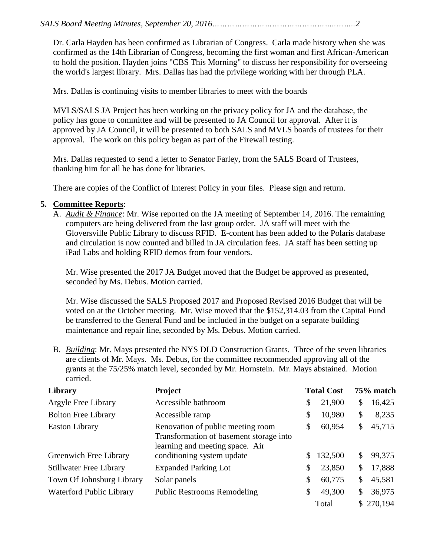Dr. Carla Hayden has been confirmed as Librarian of Congress. Carla made history when she was confirmed as the 14th Librarian of Congress, becoming the first woman and first African-American to hold the position. Hayden joins "CBS This Morning" to discuss her responsibility for overseeing the world's largest library. Mrs. Dallas has had the privilege working with her through PLA.

Mrs. Dallas is continuing visits to member libraries to meet with the boards

MVLS/SALS JA Project has been working on the privacy policy for JA and the database, the policy has gone to committee and will be presented to JA Council for approval. After it is approved by JA Council, it will be presented to both SALS and MVLS boards of trustees for their approval. The work on this policy began as part of the Firewall testing.

Mrs. Dallas requested to send a letter to Senator Farley, from the SALS Board of Trustees, thanking him for all he has done for libraries.

There are copies of the Conflict of Interest Policy in your files. Please sign and return.

### **5. Committee Reports**:

A. *Audit & Finance*: Mr. Wise reported on the JA meeting of September 14, 2016. The remaining computers are being delivered from the last group order. JA staff will meet with the Gloversville Public Library to discuss RFID. E-content has been added to the Polaris database and circulation is now counted and billed in JA circulation fees. JA staff has been setting up iPad Labs and holding RFID demos from four vendors.

Mr. Wise presented the 2017 JA Budget moved that the Budget be approved as presented, seconded by Ms. Debus. Motion carried.

Mr. Wise discussed the SALS Proposed 2017 and Proposed Revised 2016 Budget that will be voted on at the October meeting. Mr. Wise moved that the \$152,314.03 from the Capital Fund be transferred to the General Fund and be included in the budget on a separate building maintenance and repair line, seconded by Ms. Debus. Motion carried.

B. *Building*: Mr. Mays presented the NYS DLD Construction Grants. Three of the seven libraries are clients of Mr. Mays. Ms. Debus, for the committee recommended approving all of the grants at the 75/25% match level, seconded by Mr. Hornstein. Mr. Mays abstained. Motion carried.

| Library                        | Project                                                                                                         | <b>Total Cost</b> |         | 75% match |           |
|--------------------------------|-----------------------------------------------------------------------------------------------------------------|-------------------|---------|-----------|-----------|
| Argyle Free Library            | Accessible bathroom                                                                                             | \$                | 21,900  | \$        | 16,425    |
| <b>Bolton Free Library</b>     | Accessible ramp                                                                                                 | \$                | 10,980  | \$        | 8,235     |
| <b>Easton Library</b>          | Renovation of public meeting room<br>Transformation of basement storage into<br>learning and meeting space. Air | \$                | 60,954  | \$        | 45,715    |
| Greenwich Free Library         | conditioning system update                                                                                      |                   | 132,500 | \$        | 99,375    |
| <b>Stillwater Free Library</b> | <b>Expanded Parking Lot</b>                                                                                     | \$                | 23,850  | \$        | 17,888    |
| Town Of Johnsburg Library      | Solar panels                                                                                                    | \$                | 60,775  | \$        | 45,581    |
| Waterford Public Library       | <b>Public Restrooms Remodeling</b>                                                                              | \$                | 49,300  | \$        | 36,975    |
|                                |                                                                                                                 |                   | Total   |           | \$270,194 |